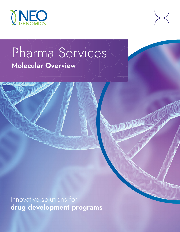



# Pharma Services Molecular Overview

Innovative solutions for drug development programs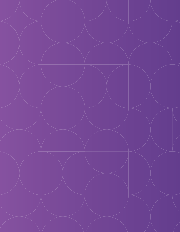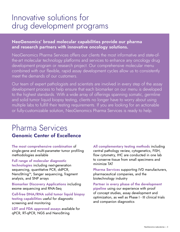# Innovative solutions for drug development programs

## NeoGenomics' broad molecular capabilities provide our pharma and research partners with innovative oncology solutions.

NeoGenomics Pharma Services offers our clients the most informative and state-ofthe-art molecular technology platforms and services to enhance any oncology drug development program or research project. Our comprehensive molecular menu combined with our flexible, rapid assay development cycles allow us to consistently meet the demands of our customers.

Our team of expert pathologists and scientists are involved in every step of the assay development process to help ensure that each biomarker on our menu is developed to the highest standards. With a wide array of offerings spanning somatic, germline and solid tumor liquid biopsy testing, clients no longer have to worry about using multiple labs to fulfill their testing requirements. If you are looking for an actionable or fully-customizable solution, NeoGenomics Pharma Services is ready to help.

# Pharma Services Genomic Center of Excellence

The most comprehensive combination of single-gene and multi-parameter tumor profiling methodologies available

Full range of molecular diagnostic technologies including next-generation sequencing, quantitative PCR, ddPCR, NanoString™, Sanger sequencing, fragment analysis, and SNP arrays

Biomarker Discovery Applications including exome sequencing and RNA-Seq

Cell-free DNA/RNA solid tumor liquid biopsy testing capabilities useful for diagnostic screening and monitoring

LDT and FDA approved assays available for qPCR, RT-qPCR, NGS and NanoString

All complementary testing methods including central pathology review, cytogenetics, FISH, flow cytometry, IHC are conducted in one lab to conserve tissue from small specimens and minimize TAT

Pharma Services supporting IVD manufacturers, pharmaceutical companies, and the biotechnology industry

Partner in every phase of the development pipeline using our experience with proof of concept studies, assay development and optimization, as well as Phase I - III clinical trials and companion diagnostics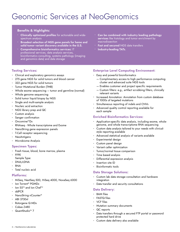# Geonomic Services at NeoGenomics

## Benefits & Highlights:

- Clinically optimized profiles for actionable and widespectrum analysis
- Broadest selection of NGS gene panels for heme and solid tumor variant discovery available in the U.S.
- Comprehensive bioinformatics services: IT professional services, data analysis services, bioinformatics consulting, systems pathology (imaging and genomics data) and data storage

## Testing Services:

- Clinical and exploratory genomics assays
- 275 gene NGS for solid tumors and blood cancer
- 322 gene NGS for solid tumors
- Tumor Mutational Burden (TMB)
- Whole exome sequencing tumor and germline (normal)
- Whole genome sequencing
- Solid tumor liquid biopsy by NGS
- Single and multi-sample analysis
- Nucleic acid extraction
- NGS library prep and QC
- Custom analysis
- Sanger confirmation
- Oncomine™Dx
- RNAseq Whole transcriptome and Exome
- NanoString gene expression panels
- T-Cell receptor sequencing
- **NeoAntigens**
- Microbiome Analysis

## Specimen Types:

- Fresh tissue, blood, bone marrow, plasma
- FFPE
- Sample Type:
- DNA/cDNA
- RNA
- Total nucleic acid

### Platforms:

- MiSeq, NextSeq 500, HiSeq 4000, NovaSeq 6000
- Ion Torrent® PGMDx
- lon S5<sup>™</sup> and Ion Chef<sup>™</sup>
- ddPCR
- NanoString nCounter<sup>®</sup>
- ABI 3730xl
- Rotorgene Q MDx
- Cobas Z480
- QuantStudio<sup>™</sup> 7
- $\cdot$  Can be combined with industry leading pathology services like histology and tumor enrichment by macrodissection
- Fast and secured NGS data transfers
- Industry-leading TATs.

## Enterprise Level Computing Environment:

- Easy and powerful bioinformatics
	- Complimentary access to high performance computing cluster and advanced suite NGS tools
	- Enables customer and project specific requirements
	- Custom filters: e.g., artifact scrubbing filters, clinically relevant variants
- Increased Annotation: Annotation from custom database of 1000s of targeted mutations
- Simultaneous reporting of indels and CNVs
- Advanced quality control reporting available for each sample

## Enriched Bioinformatics Services:

- Application-specific data analysis, including exome, wholegenome, and whole transcriptome RNA sequencing
- Custom data analysis tailored to your needs with clinicalstyle reporting available
- Advanced statistical analysis of variants available
- Experimental design
- Custom panel design
- Variant caller optimization
- Tumor/normal tissue comparison
- Time based analysis
- Differential expression analysis
- Insertion site ID
- Bioinformatic tools

## Data Storage Solutions:

- Custom lab data storage consultation and hardware integration
- Data transfer and security consultations

## Data Delivery:

- BAM files
- FASTQ files
- VCF files
- Mutation summary documents
- QC reports
- Data transfers through a secured FTP portal or password protected hard drive
- Custom data delivery also available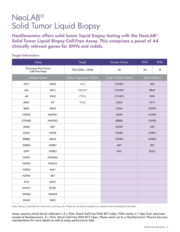# NeoLAB® Solid Tumor Liquid Biopsy

NeoGenomics offers solid tumor liquid biopsy testing with the NeoLAB® Solid Tumor Liquid Biopsy Cell-Free Assay. This comprises a panel of 44 clinically relevant genes for SNVs and indels.

## Target Information

| Assay                                  |                  | Target                        | <b>Unique Genes</b>               | <b>DNA</b>  | <b>RNA</b> |
|----------------------------------------|------------------|-------------------------------|-----------------------------------|-------------|------------|
| Oncomine Pan-Cancer<br>Cell-Free Assay |                  | TNA (DNA + RNA)               | 52                                | 50          | 12         |
| <b>Hotspot Genes</b>                   |                  | <b>Tumor Suppressor Genes</b> | Copy Number Genes<br>Gene Fusions |             |            |
| AKT1                                   | <b>HRAS</b>      | <b>APC</b>                    | CCND1                             | <b>ALK</b>  |            |
| <b>ALK</b>                             | IDH1             | FBXW7                         | CCND <sub>2</sub>                 | <b>BRAF</b> |            |
| ${\sf AR}$                             | IDH <sub>2</sub> | <b>PTEN</b>                   | CCND <sub>3</sub>                 | ERG         |            |
| ARAF                                   | KIT              | <b>TP53</b>                   | CDK4                              | ETV1        |            |
| <b>BRAF</b>                            | <b>KRAS</b>      |                               | CDK6                              | FGFR1       |            |
| CHEK2                                  | MAP2K1           |                               | <b>EGFR</b>                       | FGFR2       |            |
| CTNNB1                                 | MAP2K2           |                               | ERBB2                             | FGFR3       |            |
| DDR <sub>2</sub>                       | <b>MET</b>       |                               | FGFR1                             | <b>MET</b>  |            |
| <b>EGFR</b>                            | <b>MTOR</b>      |                               | FGFR2                             | NTRK1       |            |
| ERBB2                                  | <b>NRAS</b>      |                               | FGFR3                             | NTRK3       |            |
| ERBB3                                  | NTRK1            |                               | <b>MET</b>                        | <b>RET</b>  |            |
| ESR1                                   | NTRK3            |                               | <b>MYC</b>                        | ROS1        |            |
| FGFR1                                  | <b>PDGFRA</b>    |                               |                                   |             |            |
| FGFR2                                  | PIK3CA           |                               |                                   |             |            |
| FGFR3                                  | RAF1             |                               |                                   |             |            |
| FGFR4                                  | <b>RET</b>       |                               |                                   |             |            |
| FLT3                                   | ROS1             |                               |                                   |             |            |
| GNA11                                  | SF3B1            |                               |                                   |             |            |
| GNAQ                                   | SMAD4            |                               |                                   |             |            |
| <b>GNAS</b>                            | SMO              |                               |                                   |             |            |

Note: Testing is provided for solid tumor profiling only. Please do not submit samples from patients with hematological disorders.

Assay requires whole blood collected in 2 x 10mL Streck Cell-Free DNA BCT tubes. NGS results in 7 days from specimen receipt at NeoGenomics. 2 x 10mL Streck Cell-Free DNA BCT tubes. Please reach out to a NeoGenomics' Pharma Services representative for more details as well as assay performance data.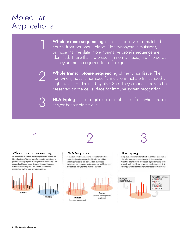# Molecular **Applications**

Whole exome sequencing of the tumor as well as matched normal from peripheral blood. Non-synonymous mutations, or those that translate into a non-native protein sequence are identified. Those that are present in normal tissue, are filtered out as they are not recognized to be foreign.



3

1

Whole transcriptome sequencing of the tumor tissue. The non-synonymous tumor specific mutations that are transcribed at high levels are identified by RNA-Seq. They are most likely to be presented on the cell surface for immune system recognition.

**HLA typing** – Four digit resolution obtained from whole exome and/or transcriptome data.

Whole Exome Sequencing RNA Sequencing HLA Typing<br>of tumor and matched normal specimens allows for for the tumor's transcriptome allows for effective using NGS allows for identification of Class 1 and Class identification of tumor specific somatic mutations in protein coding regions of the genome (red bars). The products of tumor specific somatic mutations are candidate neoantigens that can be potentially recognized by the host immune system.



identification of expressed mRNA for candidate neoantigens (solid red bars). Non-expressed mutations are removed as they are not viable targets (dotted red bars) for the immune system.

1 2 3



2 by information recognition to 4 digit resolution. With this information, prediction algorithms are used to stack rank the highly expressed and strongest HLA binding peptides containing tumor specific mutations.

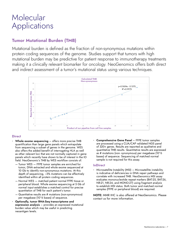# Molecular **Applications**

## Tumor Mutational Burden (TMB)

Mutational burden is defined as the fraction of non-synonymous mutations within protein coding sequences of the genome. Studies support that tumors with high mutational burden may be predictive for patient response to immunotherapy treatments making it a clinically relevant biomarker for oncology. NeoGenomics offers both direct and indirect assessment of a tumor's mutational status using various techniques.



## **Direct**

- Whole exome sequencing offers more precise TMB quantification than large gene panels which extrapolate from sequencing a subset of genes in the genome. WES also offers the added benefit of interrogating HLA as well as other relevant loci that are not normally captured in gene panels which recently have shown to be of interest in the IO field. NeoGenomic's TMB by WES workflow consists of:
	- Tumor WES FFPE tumor samples are enriched for tumor, DNA extracted and whole exome sequenced at 10 Gb to identify non-synonymous mutations. At this depth of sequencing, ~5% mutations can be effectively identified within all protein coding sequences.
	- Normal WES matched patient normal FFPE tissue or peripheral blood. Whole exome sequencing at 5 Gb of normal input establishes a matched control for precise quantitation of TMB for each patient's tumor.
	- Quantitative results are # mutations (non-synonymous) per megabase (10^6 bases) of sequence.
	- Optionally, tumor RNA-Seq transcriptome and expression analysis – provides an expressed mutational burden value which may be useful in predicting neoantigen levels.

• Comprehensive Gene Panel – FFPE tumor samples are processed using a CLIA/CAP validated NGS panel of 320+ genes. Results are reported as qualitative and quantitative TMB results. Quantitative results are expressed as # mutations (non- synonymous) per megabase (10^6 bases) of sequence. Sequencing of matched normal sample is not required for this assay.

## **InDirect**

• Microsatellite Instability (MSI) – Microsatellite instability is indicative of deficiencies in DNA repair pathways and correlate with increased TMB. NeoGenomics MSI assay evaluates mononucleotide repeat markers (BAT-25, BAT-26, NR-21, NR-24, and MONO-27) using fragment analysis to establish MSI status. Both tumor and matched normal samples (FFPE or peripheral blood) are required.

NOTE: MMR IHC is also offered at NeoGenomics. Please contact us for more information.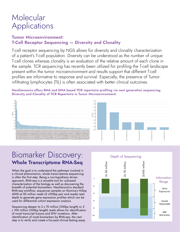# Molecular **Applications**

# Tumor Microenvironment: T-Cell Receptor Sequencing — Diversity and Clonality

T-cell receptor sequencing by NGS allows for diversity and clonality characterization of a patient's T-cell population. Diversity can be understood as the number of unique T-cell clones whereas clonality is an evaluation of the relative amount of each clone in the sample. TCR sequencing has recently been utilized for profiling the T-cell landscape present within the tumor microenvironment and results support that different T-cell profiles are informative to response and survival. Especially, the presence of Tumorinfiltrating lymphocytes (TIL) is often associated with better clinical outcomes.

NeoGenomics offers RNA and DNA based TCR repertoire profiling via next generation sequencing. Diversity and Clonality of TCR Repertoire in Tumor Microenvironment:



# Biomarker Discovery: Whole Transcriptome RNA-Seq

When the goal is to understand the pathways involved in a clinical phenomenon, whole transcriptome sequencing is often the first step. Being a non-hypothesis driven approach, RNA-seq is a versatile tool for unbiased characterization of the biology as well as discovering the breadth of potential biomarkers. NeoGenomics standard RNA-seq workflow, sequences samples on Illumina's HiSeq 4000 at 50 million reads (2 x100bp pair end reads) read depth to generate gene expression profiles which can be used for differential cohort expression analysis.

Sequencing deeper to 2 x 70 million (100bp length) or 2 x 100 million (100bp length) reads allows for identification of novel transcript fusions and SNV mutations. After identification of novel biomarkers by RNA-seq, the next step is to verify and create a focused clinical testing assay.

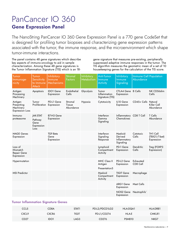# PanCancer IO 360 Gene Expression Panel

The NanoString PanCancer IO 360 Gene Expression Panel is a 770 gene CodeSet that is designed for profiling tumor biopsies and characterizing gene expression patterns associated with the tumor, the immune response, and the microenvironment which shape tumor-immune interactions.

The panel contains 48 gene signatures which describe key aspects of immuno-oncology to aid in sample characterization. Among these 48 gene signatures is the Tumor Inflammation Signature (TIS) which is an 18gene signature that measures pre-existing, peripherally suppressed adaptive immune responses in the tumor. The TIS algorithm measures the geometric mean of a set of 10 housekeeping genes for the calculation of the TIS score.

| Tumor<br>Immunoge-<br>nicity                                 | Tumor<br>Sensitivity<br>to Immune<br><b>Attack</b> | Inhibitory<br>Immune<br>Mechanisms    | Stromal<br><b>Factors</b>      | <b>Inhibitory</b><br>Metabolism | Anti-Tumor<br>Immune<br><b>Activity</b>         | <b>Inhibitory</b><br>Immune<br>Signaling         | <b>Immune Cell Population</b><br>Abundance |                                         |
|--------------------------------------------------------------|----------------------------------------------------|---------------------------------------|--------------------------------|---------------------------------|-------------------------------------------------|--------------------------------------------------|--------------------------------------------|-----------------------------------------|
| Antigen<br>Processing<br>Machinery                           | Apoptosis                                          | <b>IDO1</b> Gene<br>Expression        | Endothelial<br>Cells           | Glycolysis                      | Tumor<br>Inflammation<br>Signature (TIS)        | CTLA4 Gene B Cells<br>Expression                 |                                            | NK CD56dim<br>Cells                     |
| Antigen<br>Presenting<br>Machinery<br><b>Expression Loss</b> | Tumor<br>Proliferation                             | PD-L1 Gene<br>Expression              | Stromal<br>Tissue<br>Abundance | Hypoxia                         | Cytotoxicity                                    | IL10 Gene<br>Expression                          | CD45+ Cells Natural                        | Killer Cell<br>Abundance                |
| Immuno-<br>proteasome                                        | JAK-STAT<br>Pathway<br>Gene<br>Expression<br>Loss  | B7-H3 Gene<br>Expression              |                                |                                 | Interferon<br>Gamma<br>Signaling                | Inflammatory CD8 T Cell<br>Chemokines            |                                            | T Cells<br>Abundance                    |
| <b>MAGE Genes</b><br>Expression                              |                                                    | <b>TGF-Beta</b><br>Gene<br>Expression |                                |                                 | Interferon<br>Signaling<br>Response             | Myeloid-<br>Derived<br>Inflammatory<br>Signaling | Cytotoxic<br>Cells                         | TH1 Cell<br>(TBX21/T-bet)<br>Expression |
| Loss of<br>Mismatch<br>Repair Gene<br>Expression             |                                                    |                                       |                                |                                 | Lymphoid<br>Compartment<br>Activity             | PD-1 Gene<br>Expression                          | Dendritic<br>Cells                         | Treg (FOXP3<br>Expression)              |
| Hypermutation                                                |                                                    |                                       |                                |                                 | <b>MHC Class II</b><br>Antigen<br>Presentation5 | PD-L2 Gene<br>Expression                         | Exhausted<br>CD8 Cell                      |                                         |
| <b>MSI Predictor</b>                                         |                                                    |                                       |                                |                                 | Myeloid<br>Compartment<br>Activity              | <b>TIGIT Gene</b><br>Expression                  | Macrophage                                 |                                         |
|                                                              |                                                    |                                       |                                |                                 |                                                 | ARG1 Gene<br>Expression                          | Mast Cells                                 |                                         |
|                                                              |                                                    |                                       |                                |                                 |                                                 | NOS2 Gene<br>Expression                          | Neutrophils'                               |                                         |

## Tumor Inflammation Signature Genes

| CCL5  | CD8A             | STAT1        | PD-L2/PDCD1LG2 | HLA-DQA1           | HLA-DRB1      |
|-------|------------------|--------------|----------------|--------------------|---------------|
| CXCL9 | CXCR6            | <b>TIGIT</b> | PD-L1/CD274    | HLA-E              | <b>CMKLR1</b> |
| CD27  | IDO <sub>1</sub> | LAG3.        | CD276          | PSMB <sub>10</sub> | NKG7          |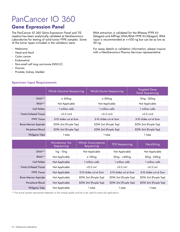# PanCancer IO 360

# Gene Expression Panel

The PanCancer IO 360 Gene Expression Panel and TIS readout has been analytically validated at NeoGenomics Laboratories for testing of solid tumor FFPE samples. Some of the tumor types included in the validation were:

- Melanoma
- Head and Neck
- Colon cancer
- Endometrial
- Non-small cell lung carcinoma (NSCLC)
- **Ovarian**
- Prostate, kidney, bladder

## Specimen Input Requirements

RNA extraction is validated for the RNeasy FFPE Kit (Qiagen) and AllPrep DNA/RNA FFPE Kit (Qiagen). RNA input is recommended at >=100 ng but can be as low as 50 ng.

For assay details or validation information, please inquire with a NeoGenomics Pharma Services representative.

|                             | Whole Genome Sequencing | Whole Exome Sequencing | <b>Targeted Gene</b><br>Panel Sequencing |
|-----------------------------|-------------------------|------------------------|------------------------------------------|
|                             |                         |                        |                                          |
| DNA**                       | $\geq 200$ ng           | $\geq 200$ ng          | 10ng - 250ng                             |
| $RNA**$                     | Not Applicable          | Not Applicable         | Not Applicable                           |
| Cell Pellets                | 1 million cells         | 1 million cells        | 1 million cells                          |
| Fresh/Unfexed Tissue        | $>0.2$ cm3              | $>0.2$ cm3             | $>0.2$ cm3                               |
| <b>FFPE Tissue</b>          | 5-10 slides cut at 5um  | 5-10 slides cut at 5um | 5-10 slides cut at 5um                   |
| <b>Bone Marrow Aspirate</b> | EDTA 2ml (Purple Top)   | EDTA 2ml (Purple Top)  | EDTA 2ml (Purple Top)                    |
| Peripheral Blood            | EDTA 5ml (Purple Top)   | EDTA 5ml (Purple Top)  | EDTA 5ml (Purple Top)                    |
| PAXgene Tube                | 1 tube                  | 1 tube                 | 1 tube                                   |

|                             | Microbiome 16s<br>Sequencing | Whole Transcriptome<br>Sequencing | <b>TCR Sequencing</b>  | <b>NanoString</b>      |
|-----------------------------|------------------------------|-----------------------------------|------------------------|------------------------|
| $DNA**$                     | $1ng - 10ng$                 | Not Applicable                    | Not Applicable         | Not Applicable         |
| $RNA**$                     | Not Applicable               | $\geq 100$ ng                     | 20ng - >400ng          | 50ng - 250ng           |
| Cell Pellets                | Not Applicable               | 1 million cells                   | 1 million cells        | 1 million cells        |
| Fresh/Unfexed Tissue        | Not Applicable               | $>0.2$ cm <sup>3</sup>            | $>0.2$ cm <sup>3</sup> | $>0.2$ cm <sup>3</sup> |
| <b>FFPE Tissue</b>          | Not Applicable               | 5-10 slides cut at 5um            | 5-10 slides cut at 5um | 5-10 slides cut at 5um |
| <b>Bone Marrow Aspirate</b> | Not Applicable               | EDTA 2ml (Purple Top)             | EDTA 2ml (Purple Top)  | EDTA 2ml (Purple Top)  |
| Peripheral Blood            | Not Applicable               | EDTA 5ml (Purple Top)             | EDTA 5ml (Purple Top)  | EDTA 5ml (Purple Top)  |
| PAXgene Tube                | Not Applicable               | 1 tube                            | 1 tube                 | 1 tube                 |

\*\*The actual sample requirement depends on the sample quality and kits to be used for particular applications.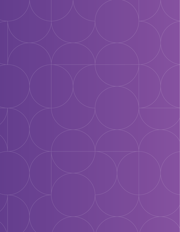